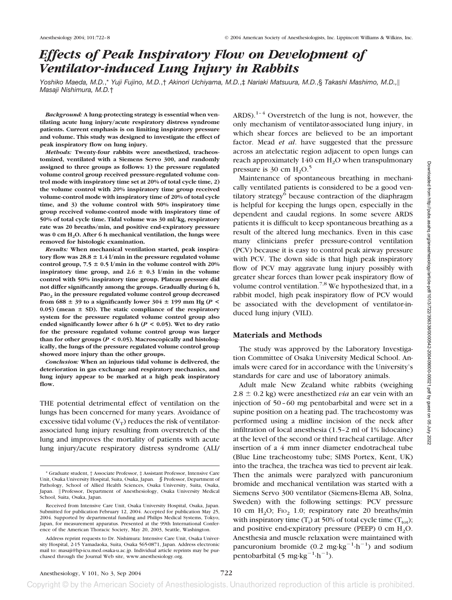# *Effects of Peak Inspiratory Flow on Development of Ventilator-induced Lung Injury in Rabbits*

*Yoshiko Maeda, M.D.*,\* *Yuji Fujino, M.D.*,† *Akinori Uchiyama, M.D.*,‡ *Nariaki Matsuura, M.D.*,§ *Takashi Mashimo, M.D., Masaji Nishimura, M.D.*†

*Background:* **A lung-protecting strategy is essential when ventilating acute lung injury/acute respiratory distress syndrome patients. Current emphasis is on limiting inspiratory pressure and volume. This study was designed to investigate the effect of peak inspiratory flow on lung injury.**

*Methods:* **Twenty-four rabbits were anesthetized, tracheostomized, ventilated with a Siemens Servo 300, and randomly assigned to three groups as follows: 1) the pressure regulated volume control group received pressure-regulated volume control mode with inspiratory time set at 20% of total cycle time, 2) the volume control with 20% inspiratory time group received volume-control mode with inspiratory time of 20% of total cycle time, and 3) the volume control with 50% inspiratory time group received volume-control mode with inspiratory time of 50% of total cycle time. Tidal volume was 30 ml/kg, respiratory rate was 20 breaths/min, and positive end-expiratory pressure was 0 cm H2O. After 6 h mechanical ventilation, the lungs were removed for histologic examination.**

*Results:* **When mechanical ventilation started, peak inspira**tory flow was  $28.8 \pm 1.4$  l/min in the pressure regulated volume control group,  $7.5 \pm 0.5$  l/min in the volume control with 20% **inspiratory time group, and 2.6**  $\pm$  0.3 l/min in the volume **control with 50% inspiratory time group. Plateau pressure did not differ significantly among the groups. Gradually during 6 h, PaO2 in the pressure regulated volume control group decreased from 688**  $\pm$  39 to a significantly lower 304  $\pm$  199 mm Hg (*P* <  $(0.05)$  (mean  $\pm$  SD). The static compliance of the respiratory **system for the pressure regulated volume control group also ended significantly lower after6h(***P* **< 0.05). Wet to dry ratio for the pressure regulated volume control group was larger** than for other groups ( $P < 0.05$ ). Macroscopically and histolog**ically, the lungs of the pressure regulated volume control group showed more injury than the other groups.**

*Conclusion:* **When an injurious tidal volume is delivered, the deterioration in gas exchange and respiratory mechanics, and lung injury appear to be marked at a high peak inspiratory flow.**

THE potential detrimental effect of ventilation on the lungs has been concerned for many years. Avoidance of excessive tidal volume  $(V_T)$  reduces the risk of ventilatorassociated lung injury resulting from overstretch of the lung and improves the mortality of patients with acute lung injury/acute respiratory distress syndrome (ALI/ ARDS). $1-4$  Overstretch of the lung is not, however, the only mechanism of ventilator-associated lung injury, in which shear forces are believed to be an important factor. Mead *et al*. have suggested that the pressure across an atelectatic region adjacent to open lungs can reach approximately 140 cm  $H_2O$  when transpulmonary pressure is 30 cm  $H_2O<sup>5</sup>$ 

Maintenance of spontaneous breathing in mechanically ventilated patients is considered to be a good ventilatory strategy<sup>6</sup> because contraction of the diaphragm is helpful for keeping the lungs open, especially in the dependent and caudal regions. In some severe ARDS patients it is difficult to keep spontaneous breathing as a result of the altered lung mechanics. Even in this case many clinicians prefer pressure-control ventilation (PCV) because it is easy to control peak airway pressure with PCV. The down side is that high peak inspiratory flow of PCV may aggravate lung injury possibly with greater shear forces than lower peak inspiratory flow of volume control ventilation.<sup>7,8</sup> We hypothesized that, in a rabbit model, high peak inspiratory flow of PCV would be associated with the development of ventilator-induced lung injury (VILI).

### **Materials and Methods**

The study was approved by the Laboratory Investigation Committee of Osaka University Medical School. Animals were cared for in accordance with the University's standards for care and use of laboratory animals.

Adult male New Zealand white rabbits (weighing  $2.8 \pm 0.2$  kg) were anesthetized *via* an ear vein with an injection of 50–60 mg pentobarbital and were set in a supine position on a heating pad. The tracheostomy was performed using a midline incision of the neck after infiltration of local anesthesia (1.5–2 ml of 1% lidocaine) at the level of the second or third tracheal cartilage. After insertion of a 4 mm inner diameter endotracheal tube (Blue Line tracheostomy tube; SIMS Portex, Kent, UK) into the trachea, the trachea was tied to prevent air leak. Then the animals were paralyzed with pancuronium bromide and mechanical ventilation was started with a Siemens Servo 300 ventilator (Siemens-Elema AB, Solna, Sweden) with the following settings: PCV pressure 10 cm  $H_2O$ ; F<sub>IO</sub> 1.0; respiratory rate 20 breaths/min with inspiratory time  $(T_i)$  at 50% of total cycle time  $(T_{tot})$ ; and positive end-expiratory pressure (PEEP)  $0 \text{ cm } H_2O$ . Anesthesia and muscle relaxation were maintained with pancuronium bromide  $(0.2 \text{ mg} \cdot \text{kg}^{-1} \cdot \text{h}^{-1})$  and sodium pentobarbital  $(5 \text{ mg} \cdot \text{kg}^{-1} \cdot \text{h}^{-1})$ .

<sup>\*</sup> Graduate student, † Associate Professor, ‡ Assistant Professor, Intensive Care Unit, Osaka University Hospital, Suita, Osaka, Japan. *§* Professor, Department of Pathology, School of Allied Health Sciences, Osaka University, Suita, Osaka, Japan. || Professor, Department of Anesthesiology, Osaka University Medical Professor, Department of Anesthesiology, Osaka University Medical School, Suita, Osaka, Japan.

Received from Intensive Care Unit, Osaka University Hospital, Osaka, Japan. Submitted for publication February 12, 2004. Accepted for publication May 25, 2004. Supported by departmental funding and Philips Medical Systems, Tokyo, Japan, for measurement apparatus. Presented at the 99th International Conference of the American Thoracic Society, May 20, 2003, Seattle, Washington.

Address reprint requests to Dr. Nishimura: Intensive Care Unit, Osaka University Hospital, 2-15 Yamadaoka, Suita, Osaka 565-0871, Japan. Address electronic mail to: masaji@hp-icu.med.osaka-u.ac.jp. Individual article reprints may be purchased through the Journal Web site, www.anesthesiology.org.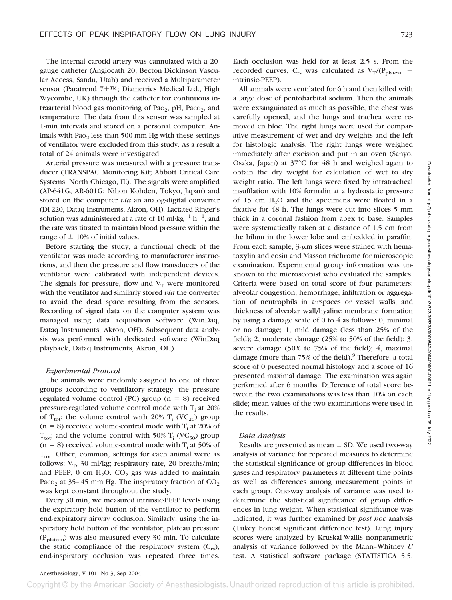The internal carotid artery was cannulated with a 20 gauge catheter (Angiocath 20; Becton Dickinson Vascular Access, Sandu, Utah) and received a Multiparameter sensor (Paratrend 7+™; Diametrics Medical Ltd., High Wycombe, UK) through the catheter for continuous intraarterial blood gas monitoring of Pa $o_2$ , pH, Pac $o_2$ , and temperature. The data from this sensor was sampled at 1-min intervals and stored on a personal computer. Animals with  $PaO<sub>2</sub>$  less than 500 mm Hg with these settings of ventilator were excluded from this study. As a result a total of 24 animals were investigated.

Arterial pressure was measured with a pressure transducer (TRANSPAC Monitoring Kit; Abbott Critical Care Systems, North Chicago, IL). The signals were amplified (AP-641G, AR-601G; Nihon Kohden, Tokyo, Japan) and stored on the computer *via* an analog-digital converter (DI-220, Dataq Instruments, Akron, OH). Lactated Ringer's solution was administered at a rate of 10 ml·kg<sup>-1</sup>·h<sup>-1</sup>, and the rate was titrated to maintain blood pressure within the range of  $\pm$  10% of initial values.

Before starting the study, a functional check of the ventilator was made according to manufacturer instructions, and then the pressure and flow transducers of the ventilator were calibrated with independent devices. The signals for pressure, flow and  $V_T$  were monitored with the ventilator and similarly stored *via* the converter to avoid the dead space resulting from the sensors. Recording of signal data on the computer system was managed using data acquisition software (WinDaq, Dataq Instruments, Akron, OH). Subsequent data analysis was performed with dedicated software (WinDaq playback, Dataq Instruments, Akron, OH).

#### *Experimental Protocol*

The animals were randomly assigned to one of three groups according to ventilatory strategy: the pressure regulated volume control (PC) group ( $n = 8$ ) received pressure-regulated volume control mode with  $T_i$  at 20% of  $T_{\text{tot}}$ ; the volume control with 20%  $T_i$  (VC<sub>20</sub>) group  $(n = 8)$  received volume-control mode with T<sub>i</sub> at 20% of  $T_{\text{tot}}$ ; and the volume control with 50%  $T_i$  (VC<sub>50</sub>) group  $(n = 8)$  received volume-control mode with T<sub>i</sub> at 50% of  $T_{\text{tot}}$ . Other, common, settings for each animal were as follows:  $V_T$ , 30 ml/kg; respiratory rate, 20 breaths/min; and PEEP, 0 cm  $H_2O$ .  $CO_2$  gas was added to maintain Paco<sub>2</sub> at 35–45 mm Hg. The inspiratory fraction of  $CO<sub>2</sub>$ was kept constant throughout the study.

Every 30 min, we measured intrinsic-PEEP levels using the expiratory hold button of the ventilator to perform end-expiratory airway occlusion. Similarly, using the inspiratory hold button of the ventilator, plateau pressure  $(P_{\text{plateau}})$  was also measured every 30 min. To calculate the static compliance of the respiratory system  $(C_{rs})$ , end-inspiratory occlusion was repeated three times.

Each occlusion was held for at least 2.5 s. From the recorded curves,  $C_{rs}$  was calculated as  $V_T/(P_{plateau}$ intrinsic-PEEP).

All animals were ventilated for 6 h and then killed with a large dose of pentobarbital sodium. Then the animals were exsanguinated as much as possible, the chest was carefully opened, and the lungs and trachea were removed en bloc. The right lungs were used for comparative measurement of wet and dry weights and the left for histologic analysis. The right lungs were weighed immediately after excision and put in an oven (Sanyo, Osaka, Japan) at 37°C for 48 h and weighed again to obtain the dry weight for calculation of wet to dry weight ratio. The left lungs were fixed by intratracheal insufflation with 10% formalin at a hydrostatic pressure of 15 cm  $H_2O$  and the specimens were floated in a fixative for 48 h. The lungs were cut into slices 5 mm thick in a coronal fashion from apex to base. Samples were systematically taken at a distance of 1.5 cm from the hilum in the lower lobe and embedded in paraffin. From each sample,  $3\text{-}\mu\text{m}$  slices were stained with hematoxylin and eosin and Masson trichrome for microscopic examination. Experimental group information was unknown to the microscopist who evaluated the samples. Criteria were based on total score of four parameters: alveolar congestion, hemorrhage, infiltration or aggregation of neutrophils in airspaces or vessel walls, and thickness of alveolar wall/hyaline membrane formation by using a damage scale of 0 to 4 as follows: 0, minimal or no damage; 1, mild damage (less than 25% of the field); 2, moderate damage (25% to 50% of the field); 3, severe damage (50% to 75% of the field); 4, maximal damage (more than  $75\%$  of the field).<sup>9</sup> Therefore, a total score of 0 presented normal histology and a score of 16 presented maximal damage. The examination was again performed after 6 months. Difference of total score between the two examinations was less than 10% on each slide; mean values of the two examinations were used in the results.

#### *Data Analysis*

Results are presented as mean  $\pm$  SD. We used two-way analysis of variance for repeated measures to determine the statistical significance of group differences in blood gases and respiratory parameters at different time points as well as differences among measurement points in each group. One-way analysis of variance was used to determine the statistical significance of group differences in lung weight. When statistical significance was indicated, it was further examined by *post hoc* analysis (Tukey honest significant difference test). Lung injury scores were analyzed by Kruskal-Wallis nonparametric analysis of variance followed by the Mann–Whitney *U* test. A statistical software package (STATISTICA 5.5;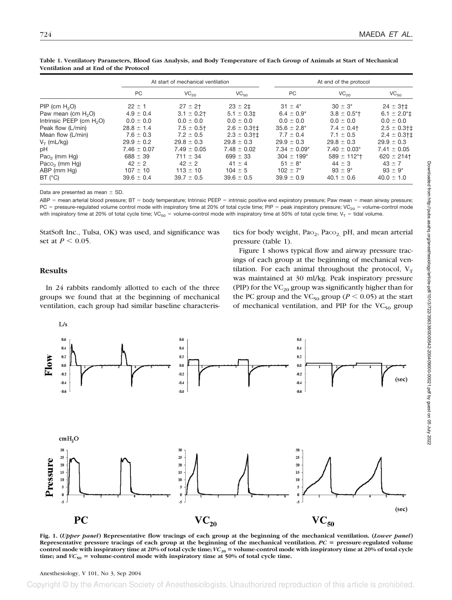|                             | At start of mechanical ventilation |                  |                  | At end of the protocol     |                            |                                  |
|-----------------------------|------------------------------------|------------------|------------------|----------------------------|----------------------------|----------------------------------|
|                             | PC                                 | VC <sub>20</sub> | VC <sub>50</sub> | <b>PC</b>                  | VC <sub>20</sub>           | VC <sub>50</sub>                 |
| PIP (cm $H_2O$ )            | $22 \pm 1$                         | $27 \pm 2$ †     | $23 \pm 21$      | $31 \pm 4^*$               | $30 \pm 3^*$               | $24 \pm 3$ <sup>+</sup>          |
| Paw mean (cm $H2O$ )        | $4.9 \pm 0.4$                      | $3.1 \pm 0.2$ †  | $5.1 \pm 0.3$ ‡  | $6.4 \pm 0.9^*$            | $3.8 \pm 0.5$ <sup>*</sup> | $6.1 \pm 2.0$ <sup>*</sup> $\pm$ |
| Intrinsic PEEP (cm $H_2O$ ) | $0.0 \pm 0.0$                      | $0.0 \pm 0.0$    | $0.0 \pm 0.0$    | $0.0 \pm 0.0$              | $0.0 \pm 0.0$              | $0.0 \pm 0.0$                    |
| Peak flow (L/min)           | $28.8 \pm 1.4$                     | $7.5 \pm 0.5$ †  | $2.6 \pm 0.3$ †‡ | $35.6 \pm 2.8^*$           | $7.4 \pm 0.4$              | $2.5 \pm 0.3$ †‡                 |
| Mean flow (L/min)           | $7.6 \pm 0.3$                      | $7.2 \pm 0.5$    | $2.3 \pm 0.3$ †‡ | $7.7 \pm 0.4$              | $7.1 \pm 0.5$              | $2.4 \pm 0.3$ †‡                 |
| $V_T$ (mL/kg)               | $29.9 \pm 0.2$                     | $29.8 \pm 0.3$   | $29.8 \pm 0.3$   | $29.9 \pm 0.3$             | $29.8 \pm 0.3$             | $29.9 \pm 0.3$                   |
| рH                          | $7.46 \pm 0.07$                    | $7.49 \pm 0.05$  | $7.48 \pm 0.02$  | $7.34 \pm 0.09^*$          | $7.40 \pm 0.03^*$          | $7.41 \pm 0.05$                  |
| Pao <sub>2</sub> (mm Hg)    | $688 \pm 39$                       | $711 \pm 34$     | $699 \pm 33$     | $304 \pm 199$ <sup>*</sup> | $589 \pm 112$ *†           | $620 \pm 214$                    |
| Paco <sub>2</sub> (mm Hg)   | $42 \pm 2$                         | $42 \pm 2$       | $41 \pm 4$       | $51 \pm 8^*$               | $44 \pm 3$                 | $43 \pm 7$                       |
| ABP (mm Hg)                 | $107 \pm 10$                       | $113 \pm 10$     | $104 \pm 5$      | $102 \pm 7^*$              | $93 \pm 9^*$               | $93 \pm 9^*$                     |
| BT (°C)                     | $39.6 \pm 0.4$                     | $39.7 \pm 0.5$   | $39.6 \pm 0.5$   | $39.9 \pm 0.9$             | $40.1 \pm 0.6$             | $40.0 \pm 1.0$                   |

**Table 1. Ventilatory Parameters, Blood Gas Analysis, and Body Temperature of Each Group of Animals at Start of Mechanical Ventilation and at End of the Protocol**

Data are presented as mean  $\pm$  SD.

 $ABP$  = mean arterial blood pressure;  $BT$  = body temperature; Intrinsic PEEP = intrinsic positive end expiratory pressure; Paw mean = mean airway pressure; PC = pressure-regulated volume control mode with inspiratory time at 20% of total cycle time; PIP = peak inspiratory pressure; VC<sub>20</sub> = volume-control mode with inspiratory time at 20% of total cycle time; VC<sub>50</sub> = volume-control mode with inspiratory time at 50% of total cycle time; V<sub>T</sub> = tidal volume.

StatSoft Inc., Tulsa, OK) was used, and significance was set at  $P < 0.05$ .

tics for body weight,  $PaO<sub>2</sub>$ ,  $PaCO<sub>2</sub>$ ,  $pH$ , and mean arterial pressure (table 1).

# **Results**

In 24 rabbits randomly allotted to each of the three groups we found that at the beginning of mechanical ventilation, each group had similar baseline characteris-

Figure 1 shows typical flow and airway pressure tracings of each group at the beginning of mechanical ventilation. For each animal throughout the protocol,  $V_T$ was maintained at 30 ml/kg. Peak inspiratory pressure (PIP) for the  $VC_{20}$  group was significantly higher than for the PC group and the VC<sub>50</sub> group ( $P < 0.05$ ) at the start of mechanical ventilation, and PIP for the  $VC_{50}$  group



**Fig. 1. (***Upper panel***) Representative flow tracings of each group at the beginning of the mechanical ventilation. (***Lower panel***) Representative pressure tracings of each group at the beginning of the mechanical ventilation.** *PC* - **pressure-regulated volume control mode with inspiratory time at 20% of total cycle time;** *VC***<sup>20</sup>** - **volume-control mode with inspiratory time at 20% of total cycle** time; and  $VC_{50}$  = volume-control mode with inspiratory time at 50% of total cycle time.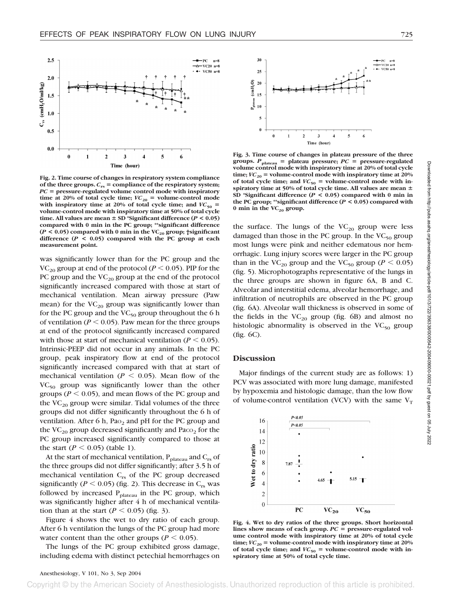

**Fig. 2. Time course of changes in respiratory system compliance of the three groups.** *C***rs** - **compliance of the respiratory system;** *PC* - **pressure-regulated volume control mode with inspiratory** time at 20% of total cycle time;  $VC_{20}$  = volume-control mode with inspiratory time at 20% of total cycle time; and  $VC_{50}$  = **volume-control mode with inspiratory time at 50% of total cycle time.** All values are mean  $\pm$  SD \*Significant difference ( $P$  < 0.05) **compared with 0 min in the PC group; \*\*significant difference**  $(P < 0.05)$  compared with 0 min in the VC<sub>20</sub> group; †significant **difference (***P* **< 0.05) compared with the PC group at each measurement point.**

was significantly lower than for the PC group and the VC<sub>20</sub> group at end of the protocol ( $P \le 0.05$ ). PIP for the PC group and the  $VC_{20}$  group at the end of the protocol significantly increased compared with those at start of mechanical ventilation. Mean airway pressure (Paw mean) for the  $VC_{20}$  group was significantly lower than for the PC group and the  $VC_{50}$  group throughout the 6 h of ventilation ( $P \le 0.05$ ). Paw mean for the three groups at end of the protocol significantly increased compared with those at start of mechanical ventilation ( $P \leq 0.05$ ). Intrinsic-PEEP did not occur in any animals. In the PC group, peak inspiratory flow at end of the protocol significantly increased compared with that at start of mechanical ventilation ( $P \leq 0.05$ ). Mean flow of the  $VC_{50}$  group was significantly lower than the other groups ( $P < 0.05$ ), and mean flows of the PC group and the  $VC_{20}$  group were similar. Tidal volumes of the three groups did not differ significantly throughout the 6 h of ventilation. After 6 h, Pa $\circ$  and pH for the PC group and the  $VC_{20}$  group decreased significantly and  $P_{ACO_2}$  for the PC group increased significantly compared to those at the start  $(P < 0.05)$  (table 1).

At the start of mechanical ventilation,  $P_{plateau}$  and  $C_{rs}$  of the three groups did not differ significantly; after 3.5 h of mechanical ventilation  $C_{rs}$  of the PC group decreased significantly ( $P < 0.05$ ) (fig. 2). This decrease in C<sub>rs</sub> was followed by increased  $P_{plateau}$  in the PC group, which was significantly higher after 4 h of mechanical ventilation than at the start  $(P < 0.05)$  (fig. 3).

Figure 4 shows the wet to dry ratio of each group. After 6 h ventilation the lungs of the PC group had more water content than the other groups ( $P \leq 0.05$ ).

The lungs of the PC group exhibited gross damage, including edema with distinct petechial hemorrhages on



**Fig. 3. Time course of changes in plateau pressure of the three groups.** *P***plateau** - **plateau pressure;** *PC* - **pressure-regulated volume control mode with inspiratory time at 20% of total cycle**  $\textrm{time}$ ;  $VC_{20}$  = volume-control mode with inspiratory time at 20% of total cycle time; and  $VC_{50}$  = volume-control mode with in**spiratory time at 50% of total cycle time. All values are mean SD \*Significant difference (***P* **< 0.05) compared with 0 min in the PC group; \*\*significant difference (***P* **< 0.05) compared with**  $0$  min in the  $VC_{20}$  group.

the surface. The lungs of the  $VC_{20}$  group were less damaged than those in the PC group. In the  $VC_{50}$  group most lungs were pink and neither edematous nor hemorrhagic. Lung injury scores were larger in the PC group than in the VC<sub>20</sub> group and the VC<sub>50</sub> group ( $P < 0.05$ ) (fig. 5). Microphotographs representative of the lungs in the three groups are shown in figure 6A, B and C. Alveolar and interstitial edema, alveolar hemorrhage, and infiltration of neutrophils are observed in the PC group (fig. 6A). Alveolar wall thickness is observed in some of the fields in the  $VC_{20}$  group (fig. 6B) and almost no histologic abnormality is observed in the  $VC_{50}$  group (fig. 6C).

#### **Discussion**

Major findings of the current study are as follows: 1) PCV was associated with more lung damage, manifested by hypoxemia and histologic damage, than the low flow of volume-control ventilation (VCV) with the same  $V_T$ 



**Fig. 4. Wet to dry ratios of the three groups. Short horizontal** lines show means of each group.  $PC = pressure$ -regulated vol**ume control mode with inspiratory time at 20% of total cycle** time;  $VC_{20}$  = volume-control mode with inspiratory time at 20% of total cycle time; and  $VC_{50}$  = volume-control mode with in**spiratory time at 50% of total cycle time.**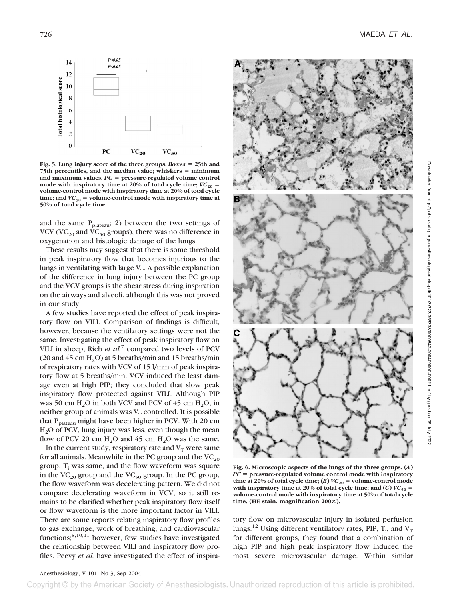

Fig. 5. Lung injury score of the three groups. *Boxes* = 25th and 75th percentiles, and the median value; whiskers = minimum and maximum values.  $PC = pressure$ -regulated volume control mode with inspiratory time at 20% of total cycle time;  $VC_{20}$  = **volume-control mode with inspiratory time at 20% of total cycle**  $time$ ; and  $VC_{50}$  = volume-control mode with inspiratory time at **50% of total cycle time.**

and the same  $P_{plateau}$ ; 2) between the two settings of VCV (VC<sub>20</sub> and VC<sub>50</sub> groups), there was no difference in oxygenation and histologic damage of the lungs.

These results may suggest that there is some threshold in peak inspiratory flow that becomes injurious to the lungs in ventilating with large  $V_T$ . A possible explanation of the difference in lung injury between the PC group and the VCV groups is the shear stress during inspiration on the airways and alveoli, although this was not proved in our study.

A few studies have reported the effect of peak inspiratory flow on VILI. Comparison of findings is difficult, however, because the ventilatory settings were not the same. Investigating the effect of peak inspiratory flow on VILI in sheep, Rich *et al.*<sup>7</sup> compared two levels of PCV (20 and 45 cm  $H_2O$ ) at 5 breaths/min and 15 breaths/min of respiratory rates with VCV of 15 l/min of peak inspiratory flow at 5 breaths/min. VCV induced the least damage even at high PIP; they concluded that slow peak inspiratory flow protected against VILI. Although PIP was 50 cm  $H_2O$  in both VCV and PCV of 45 cm  $H_2O$ , in neither group of animals was  $V_T$  controlled. It is possible that P<sub>plateau</sub> might have been higher in PCV. With 20 cm H2O of PCV, lung injury was less, even though the mean flow of PCV 20 cm  $H_2O$  and 45 cm  $H_2O$  was the same.

In the current study, respiratory rate and  $V_T$  were same for all animals. Meanwhile in the PC group and the  $VC_{20}$ group,  $T_i$  was same, and the flow waveform was square in the  $VC_{20}$  group and the  $VC_{50}$  group. In the PC group, the flow waveform was decelerating pattern. We did not compare decelerating waveform in VCV, so it still remains to be clarified whether peak inspiratory flow itself or flow waveform is the more important factor in VILI. There are some reports relating inspiratory flow profiles to gas exchange, work of breathing, and cardiovascular functions; $8,10,11$  however, few studies have investigated the relationship between VILI and inspiratory flow profiles. Peevy *et al.* have investigated the effect of inspira-



**Fig. 6. Microscopic aspects of the lungs of the three groups. (***A***)** *PC* - **pressure-regulated volume control mode with inspiratory time at 20% of total cycle time;** (*B*)  $VC_{20}$  = volume-control mode with inspiratory time at 20% of total cycle time; and  $(C)$   $VC_{50}$  = **volume-control mode with inspiratory time at 50% of total cycle time. (HE stain, magnification 200).**

tory flow on microvascular injury in isolated perfusion lungs.<sup>12</sup> Using different ventilatory rates, PIP,  $T_i$ , and  $V_T$ for different groups, they found that a combination of high PIP and high peak inspiratory flow induced the most severe microvascular damage. Within similar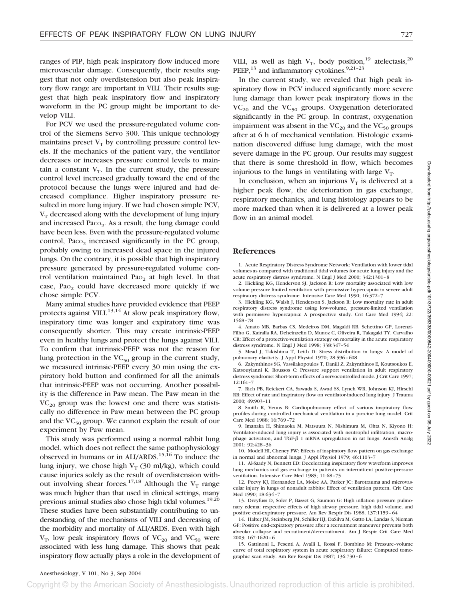ranges of PIP, high peak inspiratory flow induced more microvascular damage. Consequently, their results suggest that not only overdistension but also peak inspiratory flow range are important in VILI. Their results suggest that high peak inspiratory flow and inspiratory waveform in the PC group might be important to develop VILI.

For PCV we used the pressure-regulated volume control of the Siemens Servo 300. This unique technology maintains preset  $V_T$  by controlling pressure control levels. If the mechanics of the patient vary, the ventilator decreases or increases pressure control levels to maintain a constant  $V_T$ . In the current study, the pressure control level increased gradually toward the end of the protocol because the lungs were injured and had decreased compliance. Higher inspiratory pressure resulted in more lung injury. If we had chosen simple PCV,  $V<sub>T</sub>$  decreased along with the development of lung injury and increased  $P_{\text{ACO}_2}$ . As a result, the lung damage could have been less. Even with the pressure-regulated volume control,  $P_{ACO<sub>2</sub>}$  increased significantly in the PC group, probably owing to increased dead space in the injured lungs. On the contrary, it is possible that high inspiratory pressure generated by pressure-regulated volume control ventilation maintained Pa $o<sub>2</sub>$  at high level. In that case, Pa $o<sub>2</sub>$  could have decreased more quickly if we chose simple PCV.

Many animal studies have provided evidence that PEEP protects against VILI.<sup>13,14</sup> At slow peak inspiratory flow, inspiratory time was longer and expiratory time was consequently shorter. This may create intrinsic-PEEP even in healthy lungs and protect the lungs against VILI. To confirm that intrinsic-PEEP was not the reason for lung protection in the  $VC_{50}$  group in the current study, we measured intrinsic-PEEP every 30 min using the expiratory hold button and confirmed for all the animals that intrinsic-PEEP was not occurring. Another possibility is the difference in Paw mean. The Paw mean in the  $VC_{20}$  group was the lowest one and there was statistically no difference in Paw mean between the PC group and the  $VC_{50}$  group. We cannot explain the result of our experiment by Paw mean.

This study was performed using a normal rabbit lung model, which does not reflect the same pathophysiology observed in humans or in ALI/ARDS.<sup>15,16</sup> To induce the lung injury, we chose high  $V_T$  (30 ml/kg), which could cause injuries solely as the result of overdistension without involving shear forces.<sup>17,18</sup> Although the  $V_T$  range was much higher than that used in clinical settings, many previous animal studies also chose high tidal volumes.<sup>19,20</sup> These studies have been substantially contributing to understanding of the mechanisms of VILI and decreasing of the morbidity and mortality of ALI/ARDS. Even with high  $V_T$ , low peak inspiratory flows of  $VC_{20}$  and  $VC_{50}$  were associated with less lung damage. This shows that peak inspiratory flow actually plays a role in the development of VILI, as well as high  $V_T$ , body position,<sup>19</sup> atelectasis,<sup>20</sup> PEEP, $^{13}$  and inflammatory cytokines. $^{9,21-23}$ 

In the current study, we revealed that high peak inspiratory flow in PCV induced significantly more severe lung damage than lower peak inspiratory flows in the  $VC_{20}$  and the  $VC_{50}$  groups. Oxygenation deteriorated significantly in the PC group. In contrast, oxygenation impairment was absent in the  $VC_{20}$  and the  $VC_{50}$  groups after at 6 h of mechanical ventilation. Histologic examination discovered diffuse lung damage, with the most severe damage in the PC group. Our results may suggest that there is some threshold in flow, which becomes injurious to the lungs in ventilating with large  $V_T$ .

In conclusion, when an injurious  $V_T$  is delivered at a higher peak flow, the deterioration in gas exchange, respiratory mechanics, and lung histology appears to be more marked than when it is delivered at a lower peak flow in an animal model.

## **References**

1. Acute Respiratory Distress Syndrome Network: Ventilation with lower tidal volumes as compared with traditional tidal volumes for acute lung injury and the acute respiratory distress syndrome. N Engl J Med 2000; 342:1301–8

2. Hickling KG, Henderson SJ, Jackson R: Low mortality associated with low volume pressure limited ventilation with permissive hypercapnia in severe adult respiratory distress syndrome. Intensive Care Med 1990; 16:372–7

3. Hickling KG, Walsh J, Henderson S, Jackson R: Low mortality rate in adult respiratory distress syndrome using low-volume, pressure-limited ventilation with permissive hypercapnia: A prospective study. Crit Care Med 1994; 22: 1568–78

4. Amato MB, Barbas CS, Medeiros DM, Magaldi RB, Schettino GP, Lorenzi-Filho G, Kairalla RA, Deheinzelin D, Munoz C, Oliveira R, Takagaki TY, Carvalho CR: Effect of a protective-ventilation strategy on mortality in the acute respiratory distress syndrome. N Engl J Med 1998; 338:347–54

5. Mead J, Takishima T, Leith D: Stress distribution in lungs: A model of pulmonary elasticity. J Appl Physiol 1970; 28:596–608

6. Zakynthinos SG, Vassilakopoulos T, Daniil Z, Zakynthinos E, Koutsoukos E, Katsouyianni K, Roussos C: Pressure support ventilation in adult respiratory distress syndrome: Short-term effects of a servocontrolled mode. J Crit Care 1997; 12:161–7

7. Rich PB, Reickert CA, Sawada S, Awad SS, Lynch WR, Johnson KJ, Hirschl RB: Effect of rate and inspiratory flow on ventilator-induced lung injury. J Trauma 2000; 49:903–11

8. Smith R, Venus B: Cardiopulmonary effect of various inspiratory flow profiles during controlled mechanical ventilation in a porcine lung model. Crit Care Med 1988; 16:769–72

9. Imanaka H, Shimaoka M, Matsuura N, Nishimura M, Ohta N, Kiyono H: Ventilator-induced lung injury is associated with neutrophil infiltration, macrophage activation, and TGF- $\beta$  1 mRNA upregulation in rat lungs. Anesth Analg 2001; 92:428–36

10. Modell HI, Cheney FW: Effects of inspiratory flow pattern on gas exchange in normal and abnormal lungs. J Appl Physiol 1979; 46:1103–7

11. Al-Saady N, Bennett ED: Decelerating inspiratory flow waveform improves lung mechanics and gas exchange in patients on intermittent positive-pressure ventilation. Intensive Care Med 1985; 11:68–75

12. Peevy KJ, Hernandez LA, Moise AA, Parker JC: Barotrauma and microvascular injury in lungs of nonadult rabbits: Effect of ventilation pattern. Crit Care Med 1990; 18:634–7

13. Dreyfuss D, Soler P, Basset G, Saumon G: High inflation pressure pulmonary edema: respective effects of high airway pressure, high tidal volume, and positive end-expiratory pressure. Am Rev Respir Dis 1988; 137:1159–64

14. Halter JM, Steinberg JM, Schiller HJ, DaSilva M, Gatto LA, Landas S, Nieman GF: Positive end-expiratory pressure after a recruitment maneuver prevents both alveolar collapse and recruitment/derecruitment. Am J Respir Crit Care Med 2003; 167:1620–6

15. Gattinoni L, Pesenti A, Avalli L, Rossi F, Bombino M: Pressure–volume curve of total respiratory system in acute respiratory failure: Computed tomographic scan study. Am Rev Respir Dis 1987; 136:730–6